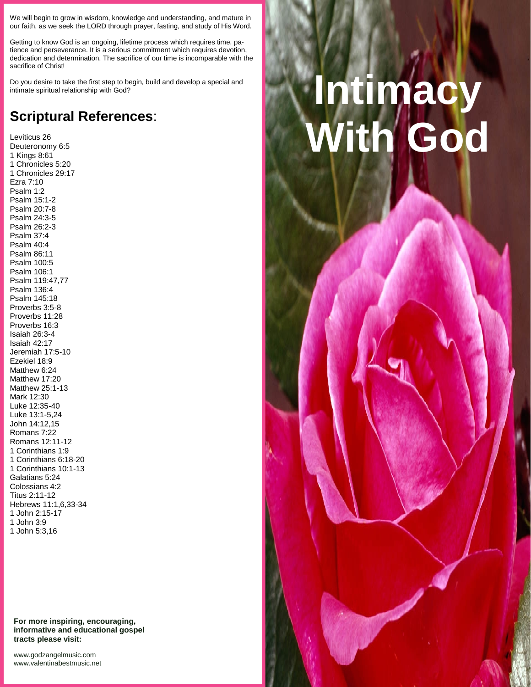We will begin to grow in wisdom, knowledge and understanding, and mature in our faith, as we seek the LORD through prayer, fasting, and study of His Word.

Getting to know God is an ongoing, lifetime process which requires time, patience and perseverance. It is a serious commitment which requires devotion, dedication and determination. The sacrifice of our time is incomparable with the sacrifice of Christ!

Do you desire to take the first step to begin, build and develop a special and intimate spiritual relationship with God?

## **Scriptural References**:

Leviticus 26 Deuteronomy 6:5 1 Kings 8:61 1 Chronicles 5:20 1 Chronicles 29:17 Ezra 7:10 Psalm 1:2 Psalm 15:1-2 Psalm 20:7-8 Psalm 24:3-5 Psalm 26:2-3 Psalm 37:4 Psalm 40:4 Psalm 86:11 Psalm 100:5 Psalm 106:1 Psalm 119:47,77 Psalm 136:4 Psalm 145:18 Proverbs 3:5-8 Proverbs 11:28 Proverbs 16:3 Isaiah 26:3-4 Isaiah 42:17 Jeremiah 17:5-10 Ezekiel 18:9 Matthew 6:24 Matthew 17:20 Matthew 25:1-13 Mark 12:30 Luke 12:35-40 Luke 13:1-5,24 John 14:12,15 Romans 7:22 Romans 12:11-12 1 Corinthians 1:9 1 Corinthians 6:18-20 1 Corinthians 10:1-13 Galatians 5:24 Colossians 4:2 Titus 2:11-12 Hebrews 11:1,6,33-34 1 John 2:15-17 1 John 3:9 1 John 5:3,16

**For more inspiring, encouraging, informative and educational gospel tracts please visit:**

<www.godzangelmusic.com> <www.valentinabestmusic.net>

## **Intimacy With God**